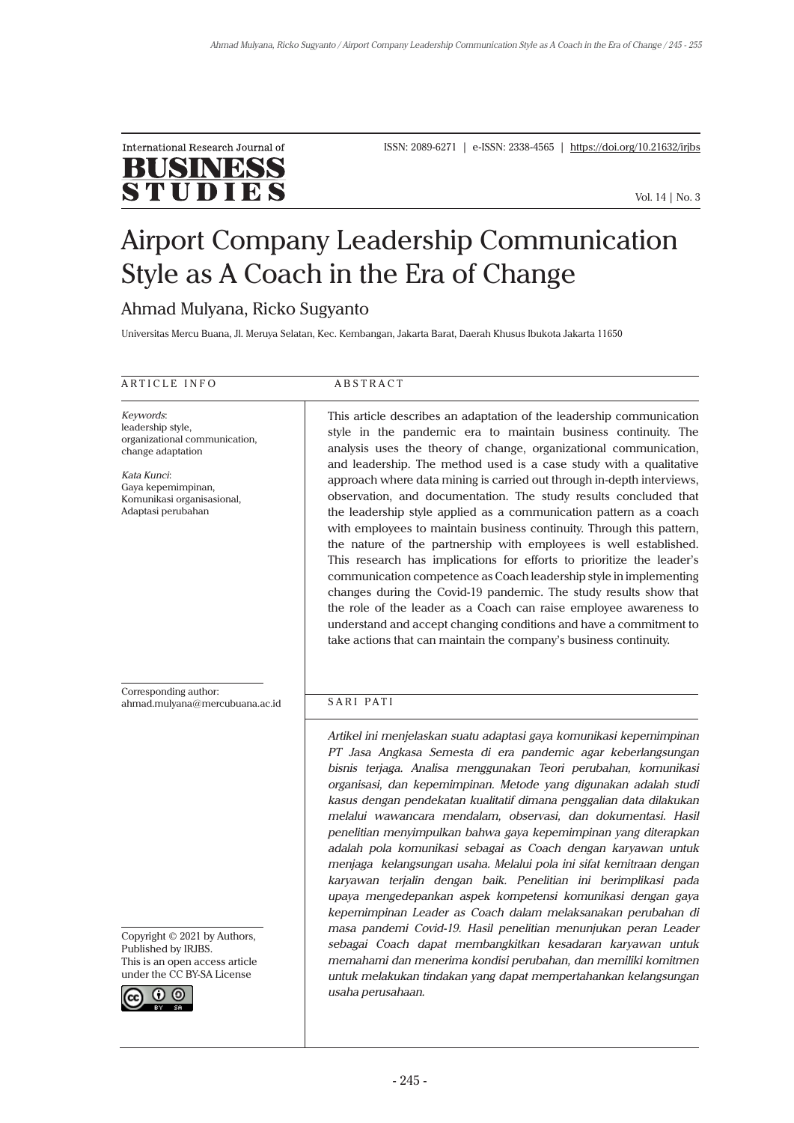

ISSN: 2089-6271 | e-ISSN: 2338-4565 | https://doi.org/10.21632/irjbs

Vol. 14 | No. 3

# Airport Company Leadership Communication Style as A Coach in the Era of Change

# Ahmad Mulyana, Ricko Sugyanto

Universitas Mercu Buana, Jl. Meruya Selatan, Kec. Kembangan, Jakarta Barat, Daerah Khusus Ibukota Jakarta 11650

ARTICLE INFO<br>ABSTRACT

*Keywords*: leadership style, organizational communication, change adaptation

*Kata Kunci*: Gaya kepemimpinan, Komunikasi organisasional, Adaptasi perubahan

Corresponding author: [ahmad.mulyana@mercubuana.ac.id](mailto:ahmad.mulyana@mercubuana.ac.id)

Copyright © 2021 by Authors, Published by IRJBS. This is an open access article under the CC BY-SA License



This article describes an adaptation of the leadership communication style in the pandemic era to maintain business continuity. The analysis uses the theory of change, organizational communication, and leadership. The method used is a case study with a qualitative approach where data mining is carried out through in-depth interviews, observation, and documentation. The study results concluded that the leadership style applied as a communication pattern as a coach with employees to maintain business continuity. Through this pattern, the nature of the partnership with employees is well established. This research has implications for efforts to prioritize the leader's communication competence as Coach leadership style in implementing changes during the Covid-19 pandemic. The study results show that the role of the leader as a Coach can raise employee awareness to understand and accept changing conditions and have a commitment to take actions that can maintain the company's business continuity.

#### SARI PATI

*Artikel ini menjelaskan suatu adaptasi gaya komunikasi kepemimpinan PT Jasa Angkasa Semesta di era pandemic agar keberlangsungan bisnis terjaga. Analisa menggunakan Teori perubahan, komunikasi organisasi, dan kepemimpinan. Metode yang digunakan adalah studi kasus dengan pendekatan kualitatif dimana penggalian data dilakukan melalui wawancara mendalam, observasi, dan dokumentasi. Hasil penelitian menyimpulkan bahwa gaya kepemimpinan yang diterapkan adalah pola komunikasi sebagai as Coach dengan karyawan untuk menjaga kelangsungan usaha. Melalui pola ini sifat kemitraan dengan karyawan terjalin dengan baik. Penelitian ini berimplikasi pada upaya mengedepankan aspek kompetensi komunikasi dengan gaya kepemimpinan Leader as Coach dalam melaksanakan perubahan di masa pandemi Covid-19. Hasil penelitian menunjukan peran Leader sebagai Coach dapat membangkitkan kesadaran karyawan untuk memahami dan menerima kondisi perubahan, dan memiliki komitmen untuk melakukan tindakan yang dapat mempertahankan kelangsungan usaha perusahaan.*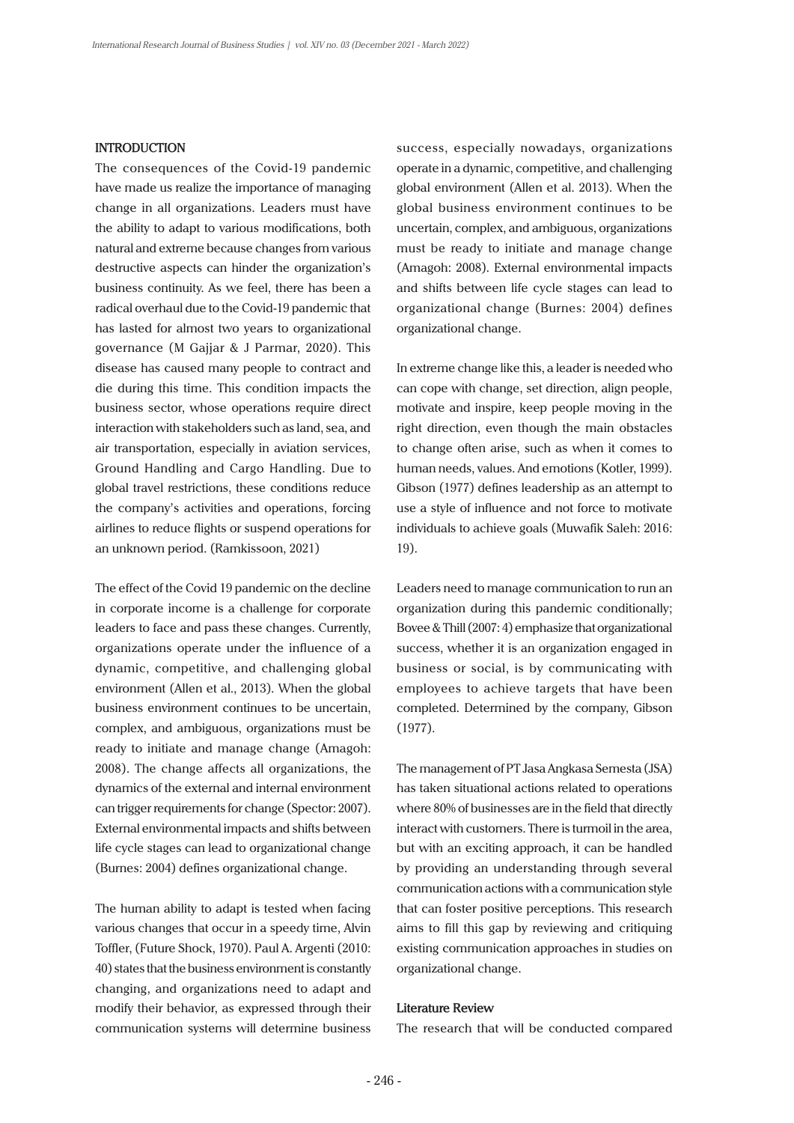### **INTRODUCTION**

The consequences of the Covid-19 pandemic have made us realize the importance of managing change in all organizations. Leaders must have the ability to adapt to various modifications, both natural and extreme because changes from various destructive aspects can hinder the organization's business continuity. As we feel, there has been a radical overhaul due to the Covid-19 pandemic that has lasted for almost two years to organizational governance (M Gajjar & J Parmar, 2020). This disease has caused many people to contract and die during this time. This condition impacts the business sector, whose operations require direct interaction with stakeholders such as land, sea, and air transportation, especially in aviation services, Ground Handling and Cargo Handling. Due to global travel restrictions, these conditions reduce the company's activities and operations, forcing airlines to reduce flights or suspend operations for an unknown period. (Ramkissoon, 2021)

The effect of the Covid 19 pandemic on the decline in corporate income is a challenge for corporate leaders to face and pass these changes. Currently, organizations operate under the influence of a dynamic, competitive, and challenging global environment (Allen et al., 2013). When the global business environment continues to be uncertain, complex, and ambiguous, organizations must be ready to initiate and manage change (Amagoh: 2008). The change affects all organizations, the dynamics of the external and internal environment can trigger requirements for change (Spector: 2007). External environmental impacts and shifts between life cycle stages can lead to organizational change (Burnes: 2004) defines organizational change.

The human ability to adapt is tested when facing various changes that occur in a speedy time, Alvin Toffler, (Future Shock, 1970). Paul A. Argenti (2010: 40) states that the business environment is constantly changing, and organizations need to adapt and modify their behavior, as expressed through their communication systems will determine business

success, especially nowadays, organizations operate in a dynamic, competitive, and challenging global environment (Allen et al. 2013). When the global business environment continues to be uncertain, complex, and ambiguous, organizations must be ready to initiate and manage change (Amagoh: 2008). External environmental impacts and shifts between life cycle stages can lead to organizational change (Burnes: 2004) defines organizational change.

In extreme change like this, a leader is needed who can cope with change, set direction, align people, motivate and inspire, keep people moving in the right direction, even though the main obstacles to change often arise, such as when it comes to human needs, values. And emotions (Kotler, 1999). Gibson (1977) defines leadership as an attempt to use a style of influence and not force to motivate individuals to achieve goals (Muwafik Saleh: 2016: 19).

Leaders need to manage communication to run an organization during this pandemic conditionally; Bovee & Thill (2007: 4) emphasize that organizational success, whether it is an organization engaged in business or social, is by communicating with employees to achieve targets that have been completed. Determined by the company, Gibson (1977).

The management of PT Jasa Angkasa Semesta (JSA) has taken situational actions related to operations where 80% of businesses are in the field that directly interact with customers. There is turmoil in the area, but with an exciting approach, it can be handled by providing an understanding through several communication actions with a communication style that can foster positive perceptions. This research aims to fill this gap by reviewing and critiquing existing communication approaches in studies on organizational change.

#### **Literature Review**

The research that will be conducted compared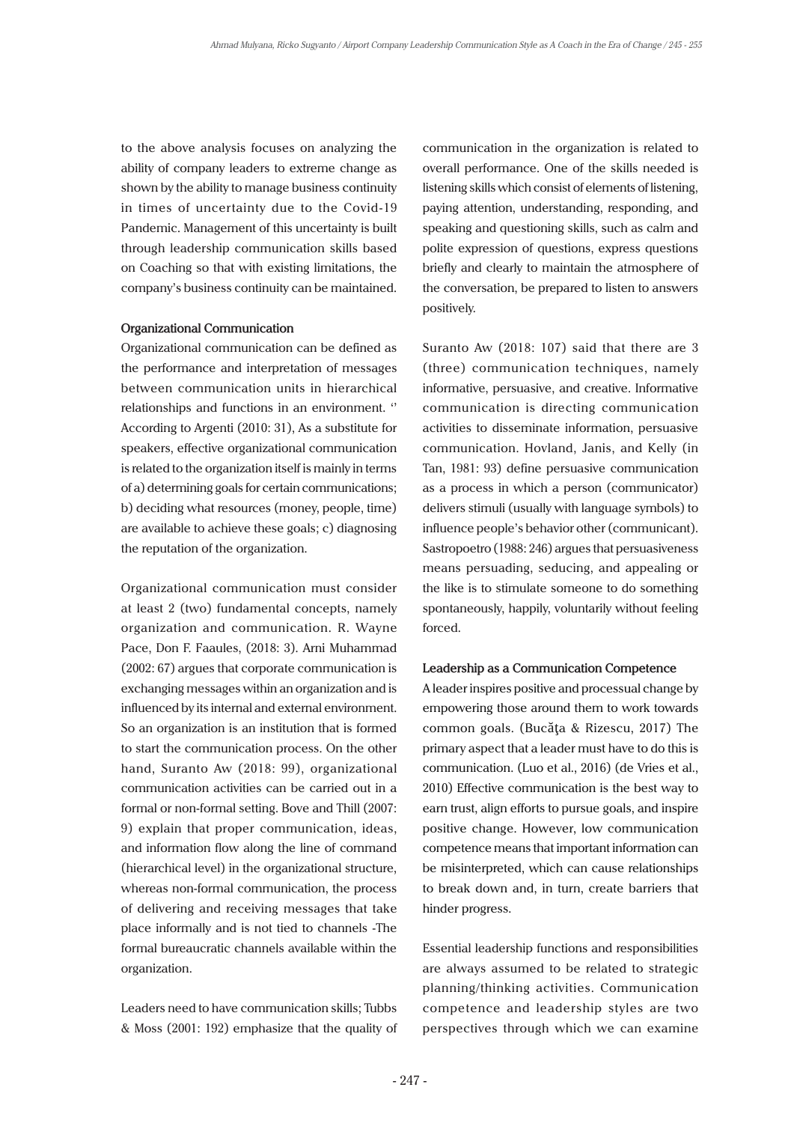to the above analysis focuses on analyzing the ability of company leaders to extreme change as shown by the ability to manage business continuity in times of uncertainty due to the Covid-19 Pandemic. Management of this uncertainty is built through leadership communication skills based on Coaching so that with existing limitations, the company's business continuity can be maintained.

#### **Organizational Communication**

Organizational communication can be defined as the performance and interpretation of messages between communication units in hierarchical relationships and functions in an environment. '' According to Argenti (2010: 31), As a substitute for speakers, effective organizational communication is related to the organization itself is mainly in terms of a) determining goals for certain communications; b) deciding what resources (money, people, time) are available to achieve these goals; c) diagnosing the reputation of the organization.

Organizational communication must consider at least 2 (two) fundamental concepts, namely organization and communication. R. Wayne Pace, Don F. Faaules, (2018: 3). Arni Muhammad (2002: 67) argues that corporate communication is exchanging messages within an organization and is influenced by its internal and external environment. So an organization is an institution that is formed to start the communication process. On the other hand, Suranto Aw (2018: 99), organizational communication activities can be carried out in a formal or non-formal setting. Bove and Thill (2007: 9) explain that proper communication, ideas, and information flow along the line of command (hierarchical level) in the organizational structure, whereas non-formal communication, the process of delivering and receiving messages that take place informally and is not tied to channels -The formal bureaucratic channels available within the organization.

Leaders need to have communication skills; Tubbs & Moss (2001: 192) emphasize that the quality of

communication in the organization is related to overall performance. One of the skills needed is listening skills which consist of elements of listening, paying attention, understanding, responding, and speaking and questioning skills, such as calm and polite expression of questions, express questions briefly and clearly to maintain the atmosphere of the conversation, be prepared to listen to answers positively.

Suranto Aw (2018: 107) said that there are 3 (three) communication techniques, namely informative, persuasive, and creative. Informative communication is directing communication activities to disseminate information, persuasive communication. Hovland, Janis, and Kelly (in Tan, 1981: 93) define persuasive communication as a process in which a person (communicator) delivers stimuli (usually with language symbols) to influence people's behavior other (communicant). Sastropoetro (1988: 246) argues that persuasiveness means persuading, seducing, and appealing or the like is to stimulate someone to do something spontaneously, happily, voluntarily without feeling forced.

#### **Leadership as a Communication Competence**

A leader inspires positive and processual change by empowering those around them to work towards common goals. (Bucăţa & Rizescu, 2017) The primary aspect that a leader must have to do this is communication. (Luo et al., 2016) (de Vries et al., 2010) Effective communication is the best way to earn trust, align efforts to pursue goals, and inspire positive change. However, low communication competence means that important information can be misinterpreted, which can cause relationships to break down and, in turn, create barriers that hinder progress.

Essential leadership functions and responsibilities are always assumed to be related to strategic planning/thinking activities. Communication competence and leadership styles are two perspectives through which we can examine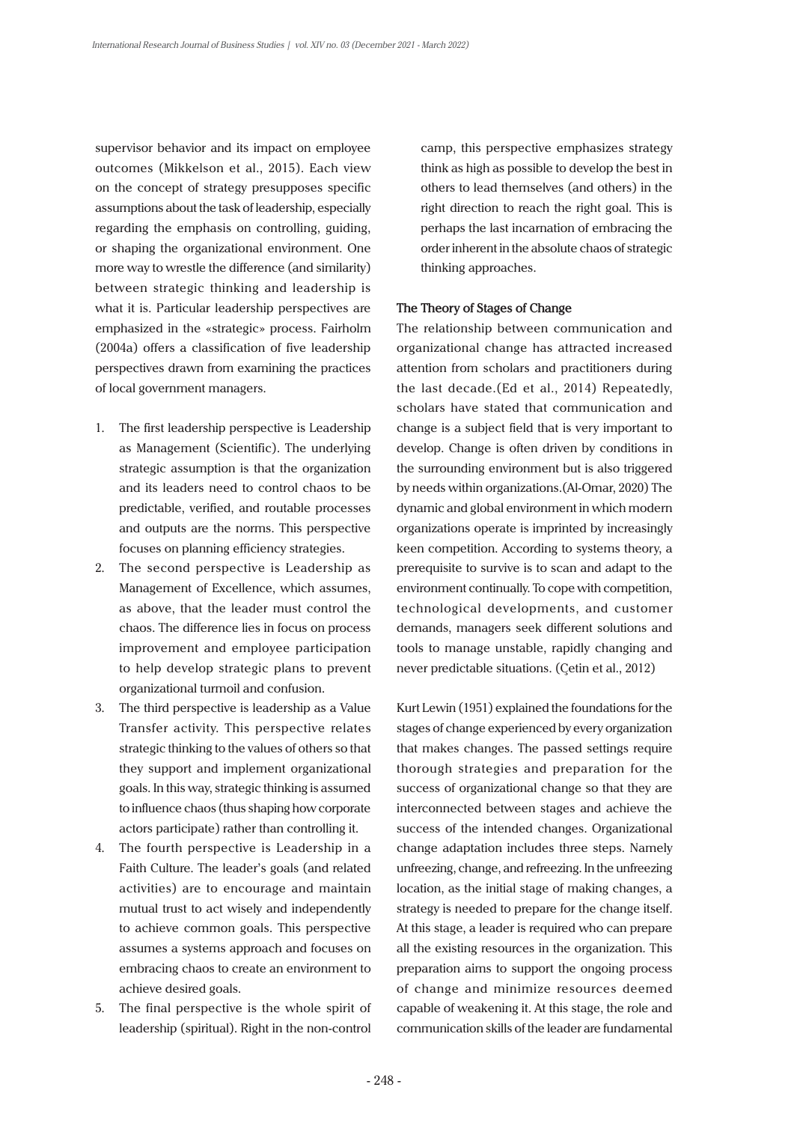supervisor behavior and its impact on employee outcomes (Mikkelson et al., 2015). Each view on the concept of strategy presupposes specific assumptions about the task of leadership, especially regarding the emphasis on controlling, guiding, or shaping the organizational environment. One more way to wrestle the difference (and similarity) between strategic thinking and leadership is what it is. Particular leadership perspectives are emphasized in the «strategic» process. Fairholm (2004a) offers a classification of five leadership perspectives drawn from examining the practices of local government managers.

- 1. The first leadership perspective is Leadership as Management (Scientific). The underlying strategic assumption is that the organization and its leaders need to control chaos to be predictable, verified, and routable processes and outputs are the norms. This perspective focuses on planning efficiency strategies.
- 2. The second perspective is Leadership as Management of Excellence, which assumes, as above, that the leader must control the chaos. The difference lies in focus on process improvement and employee participation to help develop strategic plans to prevent organizational turmoil and confusion.
- 3. The third perspective is leadership as a Value Transfer activity. This perspective relates strategic thinking to the values of others so that they support and implement organizational goals. In this way, strategic thinking is assumed to influence chaos (thus shaping how corporate actors participate) rather than controlling it.
- 4. The fourth perspective is Leadership in a Faith Culture. The leader's goals (and related activities) are to encourage and maintain mutual trust to act wisely and independently to achieve common goals. This perspective assumes a systems approach and focuses on embracing chaos to create an environment to achieve desired goals.
- 5. The final perspective is the whole spirit of leadership (spiritual). Right in the non-control

camp, this perspective emphasizes strategy think as high as possible to develop the best in others to lead themselves (and others) in the right direction to reach the right goal. This is perhaps the last incarnation of embracing the order inherent in the absolute chaos of strategic thinking approaches.

#### **The Theory of Stages of Change**

The relationship between communication and organizational change has attracted increased attention from scholars and practitioners during the last decade.(Ed et al., 2014) Repeatedly, scholars have stated that communication and change is a subject field that is very important to develop. Change is often driven by conditions in the surrounding environment but is also triggered by needs within organizations.(Al-Omar, 2020) The dynamic and global environment in which modern organizations operate is imprinted by increasingly keen competition. According to systems theory, a prerequisite to survive is to scan and adapt to the environment continually. To cope with competition, technological developments, and customer demands, managers seek different solutions and tools to manage unstable, rapidly changing and never predictable situations. (Çetin et al., 2012)

Kurt Lewin (1951) explained the foundations for the stages of change experienced by every organization that makes changes. The passed settings require thorough strategies and preparation for the success of organizational change so that they are interconnected between stages and achieve the success of the intended changes. Organizational change adaptation includes three steps. Namely unfreezing, change, and refreezing. In the unfreezing location, as the initial stage of making changes, a strategy is needed to prepare for the change itself. At this stage, a leader is required who can prepare all the existing resources in the organization. This preparation aims to support the ongoing process of change and minimize resources deemed capable of weakening it. At this stage, the role and communication skills of the leader are fundamental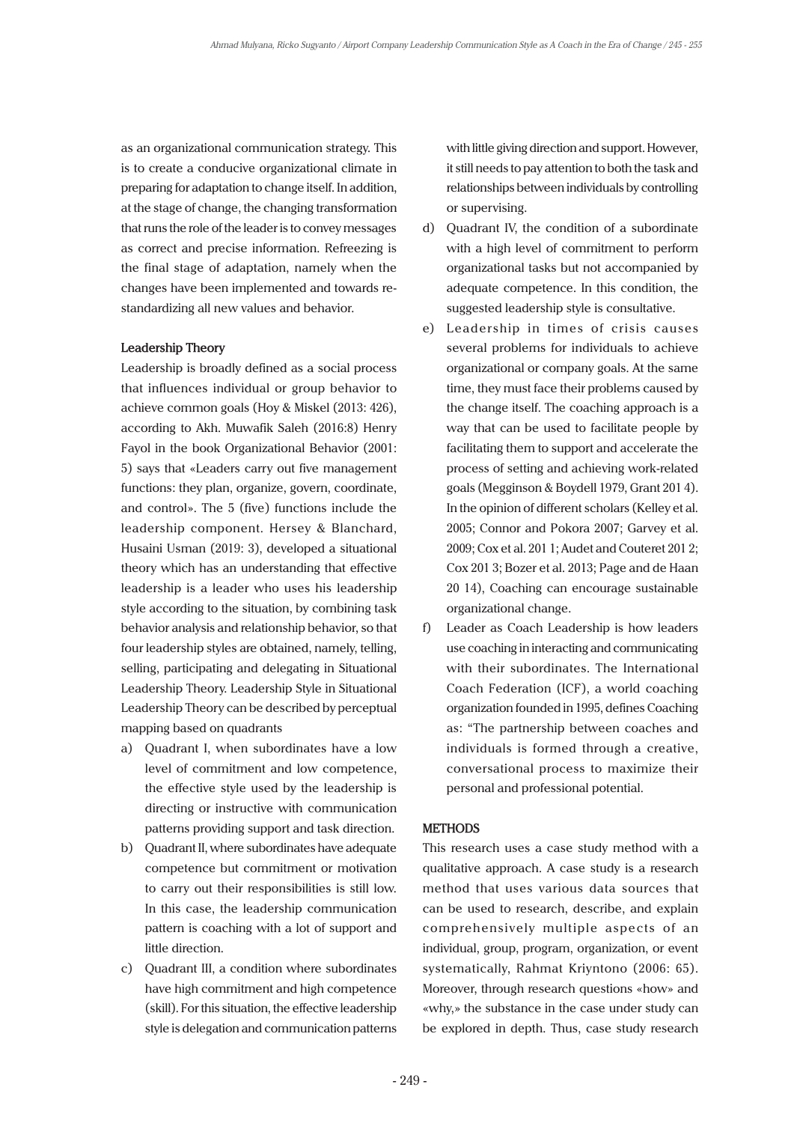as an organizational communication strategy. This is to create a conducive organizational climate in preparing for adaptation to change itself. In addition, at the stage of change, the changing transformation that runs the role of the leader is to convey messages as correct and precise information. Refreezing is the final stage of adaptation, namely when the changes have been implemented and towards restandardizing all new values and behavior.

#### **Leadership Theory**

Leadership is broadly defined as a social process that influences individual or group behavior to achieve common goals (Hoy & Miskel (2013: 426), according to Akh. Muwafik Saleh (2016:8) Henry Fayol in the book Organizational Behavior (2001: 5) says that «Leaders carry out five management functions: they plan, organize, govern, coordinate, and control». The 5 (five) functions include the leadership component. Hersey & Blanchard, Husaini Usman (2019: 3), developed a situational theory which has an understanding that effective leadership is a leader who uses his leadership style according to the situation, by combining task behavior analysis and relationship behavior, so that four leadership styles are obtained, namely, telling, selling, participating and delegating in Situational Leadership Theory. Leadership Style in Situational Leadership Theory can be described by perceptual mapping based on quadrants

- a) Quadrant I, when subordinates have a low level of commitment and low competence, the effective style used by the leadership is directing or instructive with communication patterns providing support and task direction.
- b) Quadrant II, where subordinates have adequate competence but commitment or motivation to carry out their responsibilities is still low. In this case, the leadership communication pattern is coaching with a lot of support and little direction.
- c) Quadrant III, a condition where subordinates have high commitment and high competence (skill). For this situation, the effective leadership style is delegation and communication patterns

with little giving direction and support. However, it still needs to pay attention to both the task and relationships between individuals by controlling or supervising.

- d) Quadrant IV, the condition of a subordinate with a high level of commitment to perform organizational tasks but not accompanied by adequate competence. In this condition, the suggested leadership style is consultative.
- e) Leadership in times of crisis causes several problems for individuals to achieve organizational or company goals. At the same time, they must face their problems caused by the change itself. The coaching approach is a way that can be used to facilitate people by facilitating them to support and accelerate the process of setting and achieving work-related goals (Megginson & Boydell 1979, Grant 201 4). In the opinion of different scholars (Kelley et al. 2005; Connor and Pokora 2007; Garvey et al. 2009; Cox et al. 201 1; Audet and Couteret 201 2; Cox 201 3; Bozer et al. 2013; Page and de Haan 20 14), Coaching can encourage sustainable organizational change.
- f) Leader as Coach Leadership is how leaders use coaching in interacting and communicating with their subordinates. The International Coach Federation (ICF), a world coaching organization founded in 1995, defines Coaching as: "The partnership between coaches and individuals is formed through a creative, conversational process to maximize their personal and professional potential.

#### **METHODS**

This research uses a case study method with a qualitative approach. A case study is a research method that uses various data sources that can be used to research, describe, and explain comprehensively multiple aspects of an individual, group, program, organization, or event systematically, Rahmat Kriyntono (2006: 65). Moreover, through research questions «how» and «why,» the substance in the case under study can be explored in depth. Thus, case study research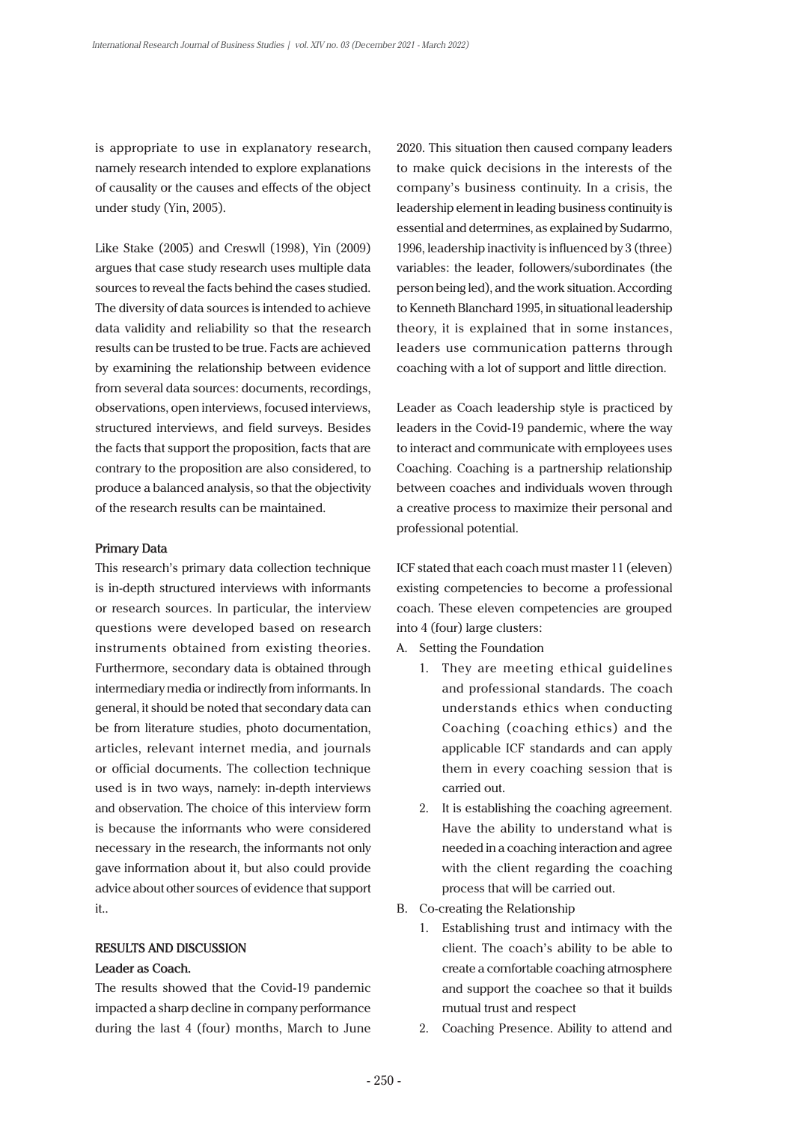is appropriate to use in explanatory research, namely research intended to explore explanations of causality or the causes and effects of the object under study (Yin, 2005).

Like Stake (2005) and Creswll (1998), Yin (2009) argues that case study research uses multiple data sources to reveal the facts behind the cases studied. The diversity of data sources is intended to achieve data validity and reliability so that the research results can be trusted to be true. Facts are achieved by examining the relationship between evidence from several data sources: documents, recordings, observations, open interviews, focused interviews, structured interviews, and field surveys. Besides the facts that support the proposition, facts that are contrary to the proposition are also considered, to produce a balanced analysis, so that the objectivity of the research results can be maintained.

#### **Primary Data**

This research's primary data collection technique is in-depth structured interviews with informants or research sources. In particular, the interview questions were developed based on research instruments obtained from existing theories. Furthermore, secondary data is obtained through intermediary media or indirectly from informants. In general, it should be noted that secondary data can be from literature studies, photo documentation, articles, relevant internet media, and journals or official documents. The collection technique used is in two ways, namely: in-depth interviews and observation. The choice of this interview form is because the informants who were considered necessary in the research, the informants not only gave information about it, but also could provide advice about other sources of evidence that support it..

#### **RESULTS AND DISCUSSION**

#### **Leader as Coach.**

The results showed that the Covid-19 pandemic impacted a sharp decline in company performance during the last 4 (four) months, March to June 2020. This situation then caused company leaders to make quick decisions in the interests of the company's business continuity. In a crisis, the leadership element in leading business continuity is essential and determines, as explained by Sudarmo, 1996, leadership inactivity is influenced by 3 (three) variables: the leader, followers/subordinates (the person being led), and the work situation. According to Kenneth Blanchard 1995, in situational leadership theory, it is explained that in some instances, leaders use communication patterns through coaching with a lot of support and little direction.

Leader as Coach leadership style is practiced by leaders in the Covid-19 pandemic, where the way to interact and communicate with employees uses Coaching. Coaching is a partnership relationship between coaches and individuals woven through a creative process to maximize their personal and professional potential.

ICF stated that each coach must master 11 (eleven) existing competencies to become a professional coach. These eleven competencies are grouped into 4 (four) large clusters:

- A. Setting the Foundation
	- 1. They are meeting ethical guidelines and professional standards. The coach understands ethics when conducting Coaching (coaching ethics) and the applicable ICF standards and can apply them in every coaching session that is carried out.
	- 2. It is establishing the coaching agreement. Have the ability to understand what is needed in a coaching interaction and agree with the client regarding the coaching process that will be carried out.
- B. Co-creating the Relationship
	- 1. Establishing trust and intimacy with the client. The coach's ability to be able to create a comfortable coaching atmosphere and support the coachee so that it builds mutual trust and respect
	- 2. Coaching Presence. Ability to attend and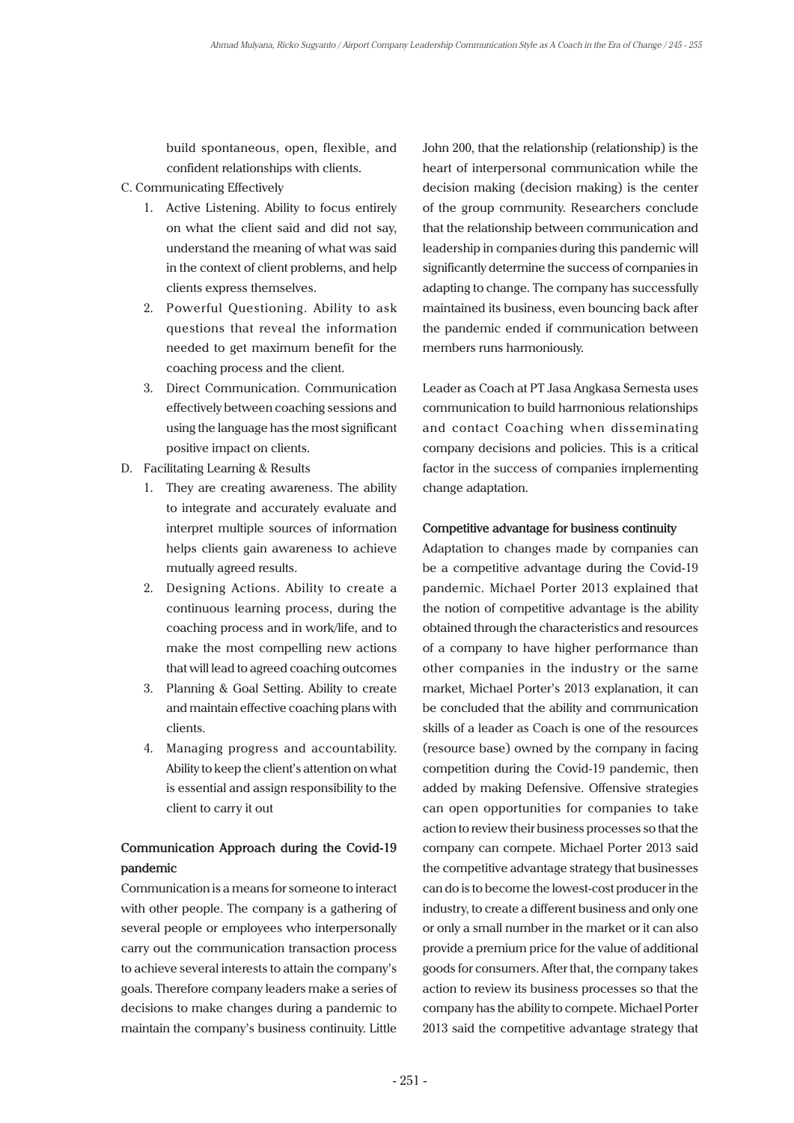build spontaneous, open, flexible, and confident relationships with clients.

- C. Communicating Effectively
	- 1. Active Listening. Ability to focus entirely on what the client said and did not say, understand the meaning of what was said in the context of client problems, and help clients express themselves.
	- 2. Powerful Questioning. Ability to ask questions that reveal the information needed to get maximum benefit for the coaching process and the client.
	- 3. Direct Communication. Communication effectively between coaching sessions and using the language has the most significant positive impact on clients.
- D. Facilitating Learning & Results
	- 1. They are creating awareness. The ability to integrate and accurately evaluate and interpret multiple sources of information helps clients gain awareness to achieve mutually agreed results.
	- 2. Designing Actions. Ability to create a continuous learning process, during the coaching process and in work/life, and to make the most compelling new actions that will lead to agreed coaching outcomes
	- 3. Planning & Goal Setting. Ability to create and maintain effective coaching plans with clients.
	- 4. Managing progress and accountability. Ability to keep the client's attention on what is essential and assign responsibility to the client to carry it out

## **Communication Approach during the Covid-19 pandemic**

Communication is a means for someone to interact with other people. The company is a gathering of several people or employees who interpersonally carry out the communication transaction process to achieve several interests to attain the company's goals. Therefore company leaders make a series of decisions to make changes during a pandemic to maintain the company's business continuity. Little

John 200, that the relationship (relationship) is the heart of interpersonal communication while the decision making (decision making) is the center of the group community. Researchers conclude that the relationship between communication and leadership in companies during this pandemic will significantly determine the success of companies in adapting to change. The company has successfully maintained its business, even bouncing back after the pandemic ended if communication between members runs harmoniously.

Leader as Coach at PT Jasa Angkasa Semesta uses communication to build harmonious relationships and contact Coaching when disseminating company decisions and policies. This is a critical factor in the success of companies implementing change adaptation.

#### **Competitive advantage for business continuity**

Adaptation to changes made by companies can be a competitive advantage during the Covid-19 pandemic. Michael Porter 2013 explained that the notion of competitive advantage is the ability obtained through the characteristics and resources of a company to have higher performance than other companies in the industry or the same market, Michael Porter's 2013 explanation, it can be concluded that the ability and communication skills of a leader as Coach is one of the resources (resource base) owned by the company in facing competition during the Covid-19 pandemic, then added by making Defensive. Offensive strategies can open opportunities for companies to take action to review their business processes so that the company can compete. Michael Porter 2013 said the competitive advantage strategy that businesses can do is to become the lowest-cost producer in the industry, to create a different business and only one or only a small number in the market or it can also provide a premium price for the value of additional goods for consumers. After that, the company takes action to review its business processes so that the company has the ability to compete. Michael Porter 2013 said the competitive advantage strategy that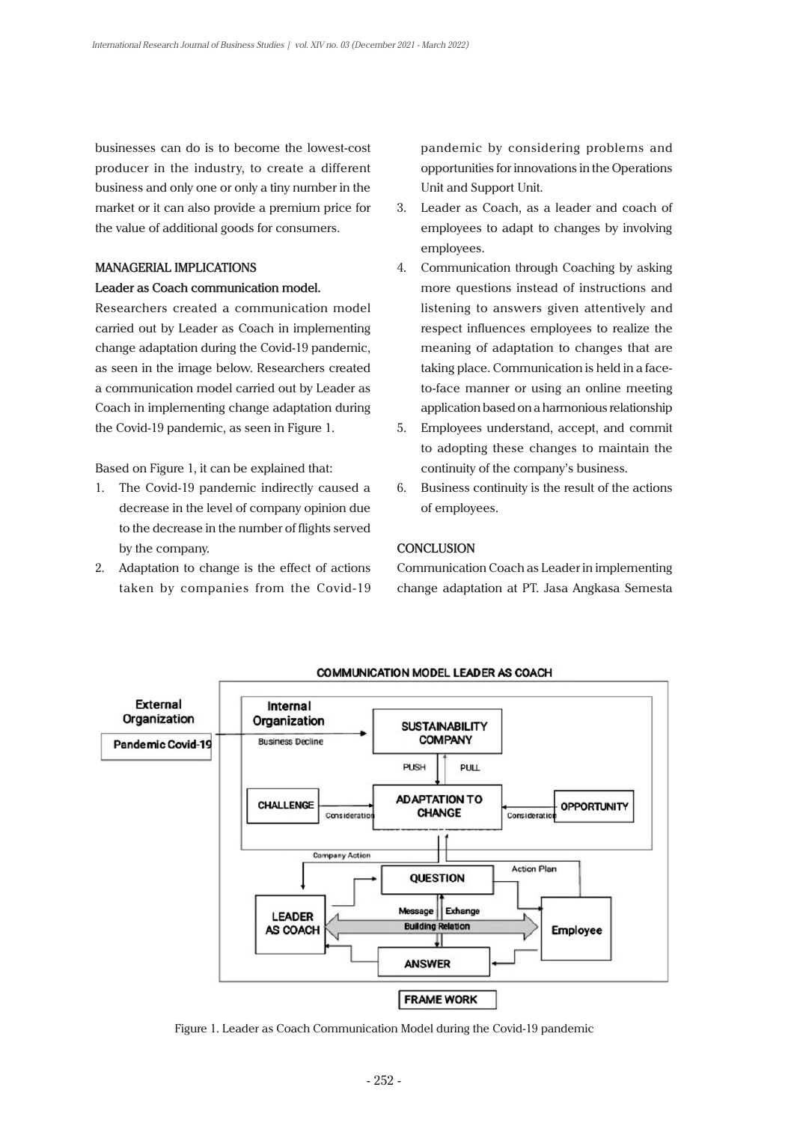businesses can do is to become the lowest-cost producer in the industry, to create a different business and only one or only a tiny number in the market or it can also provide a premium price for the value of additional goods for consumers.

#### **MANAGERIAL IMPLICATIONS**

#### **Leader as Coach communication model.**

Researchers created a communication model carried out by Leader as Coach in implementing change adaptation during the Covid-19 pandemic, as seen in the image below. Researchers created a communication model carried out by Leader as Coach in implementing change adaptation during the Covid-19 pandemic, as seen in Figure 1.

Based on Figure 1, it can be explained that:

- 1. The Covid-19 pandemic indirectly caused a decrease in the level of company opinion due to the decrease in the number of flights served by the company.
- 2. Adaptation to change is the effect of actions taken by companies from the Covid-19

pandemic by considering problems and opportunities for innovations in the Operations Unit and Support Unit.

- 3. Leader as Coach, as a leader and coach of employees to adapt to changes by involving employees.
- 4. Communication through Coaching by asking more questions instead of instructions and listening to answers given attentively and respect influences employees to realize the meaning of adaptation to changes that are taking place. Communication is held in a faceto-face manner or using an online meeting application based on a harmonious relationship
- 5. Employees understand, accept, and commit to adopting these changes to maintain the continuity of the company's business.
- 6. Business continuity is the result of the actions of employees.

#### **CONCLUSION**

Communication Coach as Leader in implementing change adaptation at PT. Jasa Angkasa Semesta



Figure 1. Leader as Coach Communication Model during the Covid-19 pandemic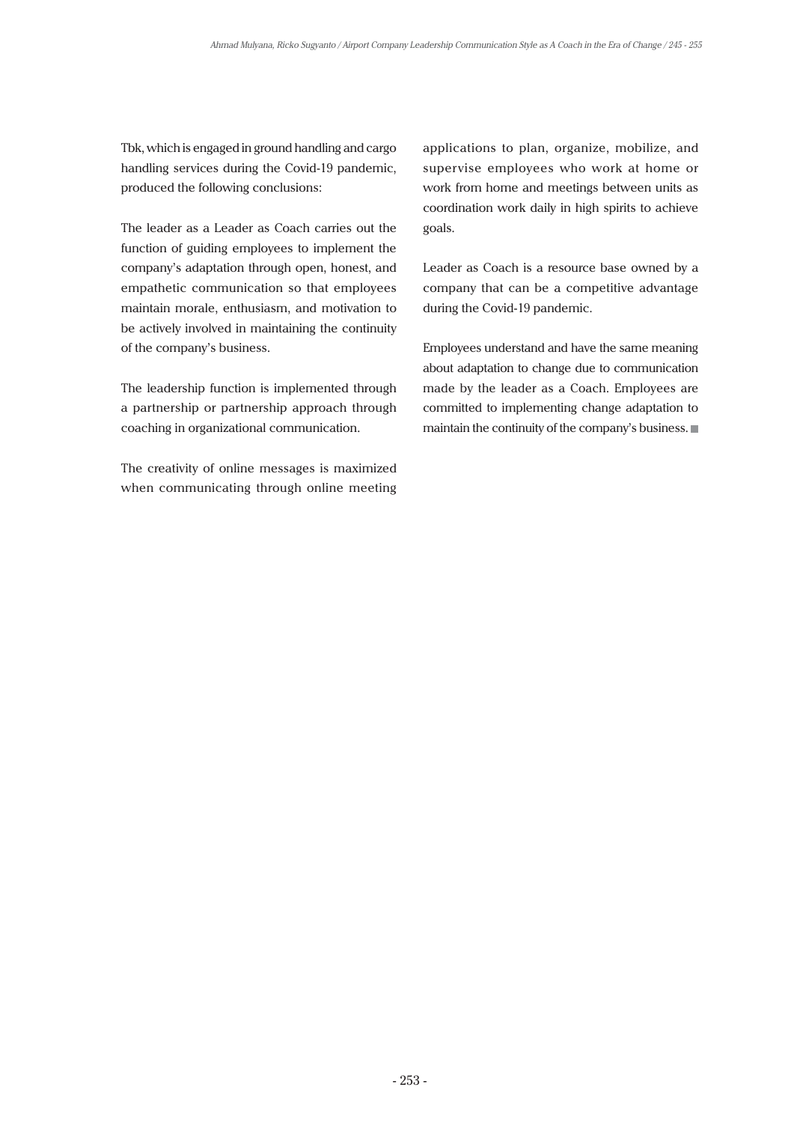Tbk, which is engaged in ground handling and cargo handling services during the Covid-19 pandemic, produced the following conclusions:

The leader as a Leader as Coach carries out the function of guiding employees to implement the company's adaptation through open, honest, and empathetic communication so that employees maintain morale, enthusiasm, and motivation to be actively involved in maintaining the continuity of the company's business.

The leadership function is implemented through a partnership or partnership approach through coaching in organizational communication.

The creativity of online messages is maximized when communicating through online meeting applications to plan, organize, mobilize, and supervise employees who work at home or work from home and meetings between units as coordination work daily in high spirits to achieve goals.

Leader as Coach is a resource base owned by a company that can be a competitive advantage during the Covid-19 pandemic.

Employees understand and have the same meaning about adaptation to change due to communication made by the leader as a Coach. Employees are committed to implementing change adaptation to maintain the continuity of the company's business.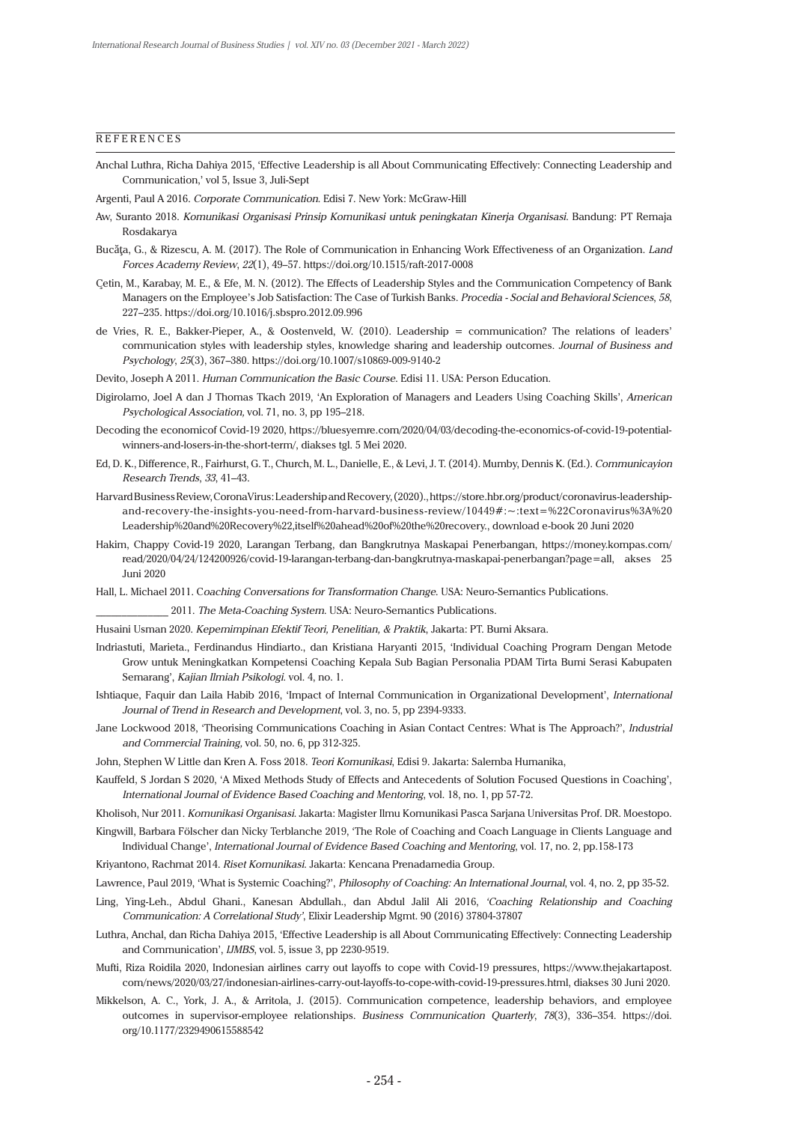#### **REFERENCES**

- Anchal Luthra, Richa Dahiya 2015, 'Effective Leadership is all About Communicating Effectively: Connecting Leadership and Communication,' vol 5, Issue 3, Juli-Sept
- Argenti, Paul A 2016. *Corporate Communication*. Edisi 7. New York: McGraw-Hill
- Aw, Suranto 2018. *Komunikasi Organisasi Prinsip Komunikasi untuk peningkatan Kinerja Organisasi*. Bandung: PT Remaja Rosdakarya
- Bucăţa, G., & Rizescu, A. M. (2017). The Role of Communication in Enhancing Work Effectiveness of an Organization. *Land Forces Academy Review*, *22*(1), 49–57. https://doi.org/10.1515/raft-2017-0008
- Çetin, M., Karabay, M. E., & Efe, M. N. (2012). The Effects of Leadership Styles and the Communication Competency of Bank Managers on the Employee's Job Satisfaction: The Case of Turkish Banks. *Procedia - Social and Behavioral Sciences*, *58*, 227–235. https://doi.org/10.1016/j.sbspro.2012.09.996
- de Vries, R. E., Bakker-Pieper, A., & Oostenveld, W. (2010). Leadership = communication? The relations of leaders' communication styles with leadership styles, knowledge sharing and leadership outcomes. *Journal of Business and Psychology*, *25*(3), 367–380. https://doi.org/10.1007/s10869-009-9140-2
- Devito, Joseph A 2011. *Human Communication the Basic Course*. Edisi 11. USA: Person Education.
- Digirolamo, Joel A dan J Thomas Tkach 2019, 'An Exploration of Managers and Leaders Using Coaching Skills', *American Psychological Association,* vol. 71, no. 3, pp 195–218.
- Decoding the economicof Covid-19 2020, [https://bluesyemre.com/2020/04/03/decoding-the-economics-of-covid-19-potential](https://bluesyemre.com/2020/04/03/decoding-the-economics-of-covid-19-potential-winners-and-losers-in-the-short-term/)[winners-and-losers-in-the-short-term/,](https://bluesyemre.com/2020/04/03/decoding-the-economics-of-covid-19-potential-winners-and-losers-in-the-short-term/) diakses tgl. 5 Mei 2020.
- Ed, D. K., Difference, R., Fairhurst, G. T., Church, M. L., Danielle, E., & Levi, J. T. (2014). Mumby, Dennis K. (Ed.). *Communicayion Research Trends*, *33*, 41–43.
- Harvard Business Review, CoronaVirus: Leadership and Recovery, (2020)., [https://store.hbr.org/product/coronavirus-leadership](https://store.hbr.org/product/coronavirus-leadership-and-recovery-the-insights-you-need-from-harvard-business-review/10449#:~:text=%22Coronavirus%3A Leadership and Recovery%22,itself ahead of the recovery.)[and-recovery-the-insights-you-need-from-harvard-business-review/10449#:~:text=%22Coronavirus%3A%20](https://store.hbr.org/product/coronavirus-leadership-and-recovery-the-insights-you-need-from-harvard-business-review/10449#:~:text=%22Coronavirus%3A Leadership and Recovery%22,itself ahead of the recovery.) [Leadership%20and%20Recovery%22,itself%20ahead%20of%20the%20recovery.](https://store.hbr.org/product/coronavirus-leadership-and-recovery-the-insights-you-need-from-harvard-business-review/10449#:~:text=%22Coronavirus%3A Leadership and Recovery%22,itself ahead of the recovery.), download e-book 20 Juni 2020
- Hakim, Chappy Covid-19 2020, Larangan Terbang, dan Bangkrutnya Maskapai Penerbangan, [https://money.kompas.com/](https://money.kompas.com/read/2020/04/24/124200926/covid-19-larangan-terbang-dan-bangkrutnya-maskapai-penerbangan?page=all) [read/2020/04/24/124200926/covid-19-larangan-terbang-dan-bangkrutnya-maskapai-penerbangan?page=all,](https://money.kompas.com/read/2020/04/24/124200926/covid-19-larangan-terbang-dan-bangkrutnya-maskapai-penerbangan?page=all) akses 25 Juni 2020
- Hall, L. Michael 2011. C*oaching Conversations for Transformation Change*. USA: Neuro-Semantics Publications.
	- \_\_\_\_\_\_\_\_\_\_\_\_\_\_ 2011. *The Meta-Coaching System*. USA: Neuro-Semantics Publications.
- Husaini Usman 2020. *Kepemimpinan Efektif Teori, Penelitian, & Praktik*, Jakarta: PT. Bumi Aksara.
- Indriastuti, Marieta., Ferdinandus Hindiarto., dan Kristiana Haryanti 2015, 'Individual Coaching Program Dengan Metode Grow untuk Meningkatkan Kompetensi Coaching Kepala Sub Bagian Personalia PDAM Tirta Bumi Serasi Kabupaten Semarang', *Kajian Ilmiah Psikologi*. vol. 4, no. 1.
- Ishtiaque, Faquir dan Laila Habib 2016, 'Impact of Internal Communication in Organizational Development', *International Journal of Trend in Research and Development*, vol. 3, no. 5, pp 2394-9333.
- Jane Lockwood 2018, 'Theorising Communications Coaching in Asian Contact Centres: What is The Approach?', *Industrial and Commercial Training,* vol. 50, no. 6, pp 312-325.
- John, Stephen W Little dan Kren A. Foss 2018. *Teori Komunikasi*, Edisi 9. Jakarta: Salemba Humanika,
- Kauffeld, S Jordan S 2020, 'A Mixed Methods Study of Effects and Antecedents of Solution Focused Questions in Coaching', *International Journal of Evidence Based Coaching and Mentoring*, vol. 18, no. 1, pp 57-72.
- Kholisoh, Nur 2011. *Komunikasi Organisasi*. Jakarta: Magister Ilmu Komunikasi Pasca Sarjana Universitas Prof. DR. Moestopo.
- Kingwill, Barbara Fölscher dan Nicky Terblanche 2019, 'The Role of Coaching and Coach Language in Clients Language and Individual Change', *International Journal of Evidence Based Coaching and Mentoring*, vol. 17, no. 2, pp.158-173
- Kriyantono, Rachmat 2014. *Riset Komunikasi*. Jakarta: Kencana Prenadamedia Group.
- Lawrence, Paul 2019, 'What is Systemic Coaching?', *Philosophy of Coaching: An International Journal*, vol. 4, no. 2, pp 35-52.
- Ling, Ying-Leh., Abdul Ghani., Kanesan Abdullah., dan Abdul Jalil Ali 2016, *'Coaching Relationship and Coaching Communication: A Correlational Study'*, Elixir Leadership Mgmt. 90 (2016) 37804-37807
- Luthra, Anchal, dan Richa Dahiya 2015, 'Effective Leadership is all About Communicating Effectively: Connecting Leadership and Communication', *IJMBS*, vol. 5, issue 3, pp 2230-9519.
- Mufti, Riza Roidila 2020, Indonesian airlines carry out layoffs to cope with Covid-19 pressures, [https://www.thejakartapost.](apost.com/news/2020/03/27/indonesian-airlines-carry-out-layoffs-to-cope-with-covid-19-pressures.html) [com/news/2020/03/27/indonesian-airlines-carry-out-layoffs-to-cope-with-covid-19-pressures.html](apost.com/news/2020/03/27/indonesian-airlines-carry-out-layoffs-to-cope-with-covid-19-pressures.html), diakses 30 Juni 2020.
- Mikkelson, A. C., York, J. A., & Arritola, J. (2015). Communication competence, leadership behaviors, and employee outcomes in supervisor-employee relationships. *Business Communication Quarterly*, *78*(3), 336–354. [https://doi.](https://doi.org/10.1177/2329490615588542) [org/10.1177/2329490615588542](https://doi.org/10.1177/2329490615588542)